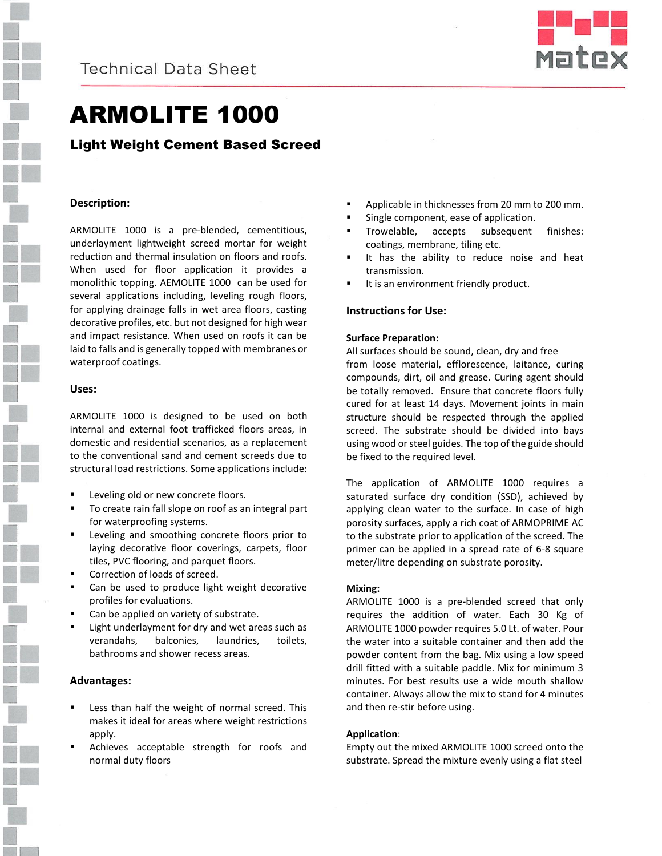



# ARMOLITE 1000

### Light Weight Cement Based Screed

#### **Description:**

ARMOLITE 1000 is a pre-blended, cementitious, underlayment lightweight screed mortar for weight reduction and thermal insulation on floors and roofs. When used for floor application it provides a monolithic topping. AEMOLITE 1000 can be used for several applications including, leveling rough floors, for applying drainage falls in wet area floors, casting decorative profiles, etc. but not designed for high wear and impact resistance. When used on roofs it can be laid to falls and is generally topped with membranes or waterproof coatings.

#### **Uses:**

ARMOLITE 1000 is designed to be used on both internal and external foot trafficked floors areas, in domestic and residential scenarios, as a replacement to the conventional sand and cement screeds due to structural load restrictions. Some applications include:

- Leveling old or new concrete floors.
- To create rain fall slope on roof as an integral part for waterproofing systems.
- Leveling and smoothing concrete floors prior to laying decorative floor coverings, carpets, floor tiles, PVC flooring, and parquet floors.
- Correction of loads of screed.
- Can be used to produce light weight decorative profiles for evaluations.
- Can be applied on variety of substrate.
- Light underlayment for dry and wet areas such as verandahs, balconies, laundries, toilets, bathrooms and shower recess areas.

#### **Advantages:**

- Less than half the weight of normal screed. This makes it ideal for areas where weight restrictions apply.
- Achieves acceptable strength for roofs and normal duty floors
- Applicable in thicknesses from 20 mm to 200 mm.
- Single component, ease of application.
- **Trowelable, accepts subsequent finishes:** coatings, membrane, tiling etc.
- It has the ability to reduce noise and heat transmission.
- It is an environment friendly product.

#### **Instructions for Use:**

#### **Surface Preparation:**

All surfaces should be sound, clean, dry and free from loose material, efflorescence, laitance, curing compounds, dirt, oil and grease. Curing agent should be totally removed. Ensure that concrete floors fully cured for at least 14 days. Movement joints in main structure should be respected through the applied screed. The substrate should be divided into bays using wood or steel guides. The top of the guide should be fixed to the required level.

The application of ARMOLITE 1000 requires a saturated surface dry condition (SSD), achieved by applying clean water to the surface. In case of high porosity surfaces, apply a rich coat of ARMOPRIME AC to the substrate prior to application of the screed. The primer can be applied in a spread rate of 6-8 square meter/litre depending on substrate porosity.

#### **Mixing:**

ARMOLITE 1000 is a pre-blended screed that only requires the addition of water. Each 30 Kg of ARMOLITE 1000 powder requires 5.0 Lt. of water. Pour the water into a suitable container and then add the powder content from the bag. Mix using a low speed drill fitted with a suitable paddle. Mix for minimum 3 minutes. For best results use a wide mouth shallow container. Always allow the mix to stand for 4 minutes and then re-stir before using.

#### **Application**:

Empty out the mixed ARMOLITE 1000 screed onto the substrate. Spread the mixture evenly using a flat steel